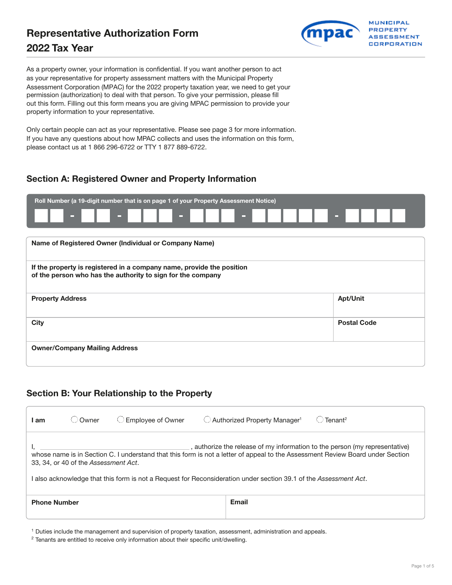# Representative Authorization Form **2022** Tax Year



As a property owner, your information is confidential. If you want another person to act as your representative for property assessment matters with the Municipal Property Assessment Corporation (MPAC) for the 2022 property taxation year, we need to get your permission (authorization) to deal with that person. To give your permission, please fill out this form. Filling out this form means you are giving MPAC permission to provide your property information to your representative.

Only certain people can act as your representative. Please see page 3 for more information. If you have any questions about how MPAC collects and uses the information on this form, please contact us at 1 866 296-6722 or TTY 1 877 889-6722.

## Section A: Registered Owner and Property Information

| Roll Number (a 19-digit number that is on page 1 of your Property Assessment Notice)                                                 |                    |  |  |  |  |
|--------------------------------------------------------------------------------------------------------------------------------------|--------------------|--|--|--|--|
| <b>COLL</b><br>$\equiv$<br>$\equiv$<br>$\overline{\phantom{a}}$                                                                      |                    |  |  |  |  |
|                                                                                                                                      |                    |  |  |  |  |
| Name of Registered Owner (Individual or Company Name)                                                                                |                    |  |  |  |  |
| If the property is registered in a company name, provide the position<br>of the person who has the authority to sign for the company |                    |  |  |  |  |
| <b>Property Address</b>                                                                                                              | <b>Apt/Unit</b>    |  |  |  |  |
| <b>City</b>                                                                                                                          | <b>Postal Code</b> |  |  |  |  |
| <b>Owner/Company Mailing Address</b>                                                                                                 |                    |  |  |  |  |

### Section B: Your Relationship to the Property

| l am                                                                                                                                                                                                                                                                                                                                                                    | Owner | <b>Employee of Owner</b> | Authorized Property Manager <sup>1</sup> | $T$ enant <sup>2</sup> |  |
|-------------------------------------------------------------------------------------------------------------------------------------------------------------------------------------------------------------------------------------------------------------------------------------------------------------------------------------------------------------------------|-------|--------------------------|------------------------------------------|------------------------|--|
| , authorize the release of my information to the person (my representative)<br>whose name is in Section C. I understand that this form is not a letter of appeal to the Assessment Review Board under Section<br>33, 34, or 40 of the Assessment Act.<br>also acknowledge that this form is not a Request for Reconsideration under section 39.1 of the Assessment Act. |       |                          |                                          |                        |  |
| <b>Phone Number</b>                                                                                                                                                                                                                                                                                                                                                     |       |                          | <b>Email</b>                             |                        |  |

1 Duties include the management and supervision of property taxation, assessment, administration and appeals.

<sup>&</sup>lt;sup>2</sup> Tenants are entitled to receive only information about their specific unit/dwelling.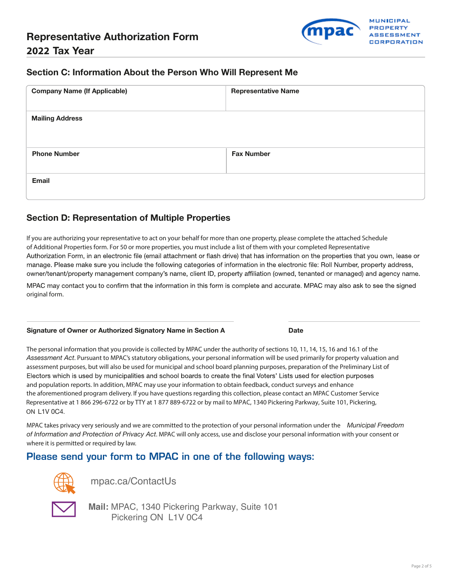

#### Section C: Information About the Person Who Will Represent Me

| <b>Company Name (If Applicable)</b> | <b>Representative Name</b> |
|-------------------------------------|----------------------------|
| <b>Mailing Address</b>              |                            |
| <b>Phone Number</b>                 | <b>Fax Number</b>          |
| Email                               |                            |

#### Section D: Representation of Multiple Properties

If you are authorizing your representative to act on your behalf for more than one property, please complete the attached Schedule of Additional Properties form. For 50 or more properties, you must include a list of them with your completed Representative Authorization Form, in an electronic file (email attachment or flash drive) that has information on the properties that you own, lease or manage. Please make sure you include the following categories of information in the electronic file: Roll Number, property address, owner/tenant/property management company's name, client ID, property affiliation (owned, tenanted or managed) and agency name.

MPAC may contact you to confirm that the information in this form is complete and accurate. MPAC may also ask to see the signed original form.

#### Signature of Owner or Authorized Signatory Name in Section A Date

The personal information that you provide is collected by MPAC under the authority of sections 10, 11, 14, 15, 16 and 16.1 of the *Assessment Act*. Pursuant to MPAC's statutory obligations, your personal information will be used primarily for property valuation and assessment purposes, but will also be used for municipal and school board planning purposes, preparation of the Preliminary List of Electors which is used by municipalities and school boards to create the final Voters' Lists used for election purposes and population reports. In addition, MPAC may use your information to obtain feedback, conduct surveys and enhance the aforementioned program delivery. If you have questions regarding this collection, please contact an MPAC Customer Service Representative at 1 866 296-6722 or by TTY at 1 877 889-6722 or by mail to MPAC, 1340 Pickering Parkway, Suite 101, Pickering, ON L1V 0C4.

MPAC takes privacy very seriously and we are committed to the protection of your personal information under the *Municipal Freedom of Information and Protection of Privacy Act*. MPAC will only access, use and disclose your personal information with your consent or where it is permitted or required by law.

### Please send your form to MPAC in one of the following ways:



[mpac.ca/ContactUs](https://mpac.ca/ContactUs) 



**Mail:** MPAC, 1340 Pickering Parkway, Suite 101 Pickering ON L1V 0C4

Page 2 of 5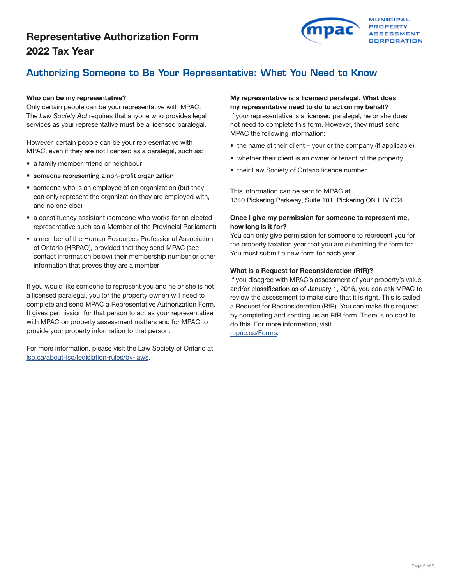

## Authorizing Someone to Be Your Representative: What You Need to Know

Only certain people can be your representative with MPAC. **my representative need to do to act on my behalf?** The *Law Society Act* requires that anyone who provides legal If your representative is a licensed paralegal, he or she does services as your representative must be a licensed paralegal. The not need to complete this form. However, they must send

However, certain people can be your representative with • the name of their client – your or the company (if applicable)<br>MPAC, even if they are not licensed as a paralegal, such as:

- 
- someone representing a non-profit organization
- someone who is an employee of an organization (but they can only represent the organization they are employed with, and no one else)
- a constituency assistant (someone who works for an elected representative such as a Member of the Provincial Parliament)
- a member of the Human Resources Professional Association of Ontario (HRPAO), provided that they send MPAC (see contact information below) their membership number or other information that proves they are a member

If you would like someone to represent you and he or she is not a licensed paralegal, you (or the property owner) will need to complete and send MPAC a Representative Authorization Form. It gives permission for that person to act as your representative with MPAC on property assessment matters and for MPAC to provide your property information to that person.

For more information, please visit the Law Society of Ontario at [lso.ca/about-lso/legislation-rules/by-laws](http://www.lso.ca/about-lso/legislation-rules/by-laws).

# Who can be my representative? The matrix of the matrix of the My representative is a licensed paralegal. What does

MPAC the following information:

- 
- a family member, friend or neighbour<br>• their Law Society of Ontario licence number<br>• their Law Society of Ontario licence number
	-

This information can be sent to MPAC at 1340 Pickering Parkway, Suite 101, Pickering ON L1V 0C4

#### Once I give my permission for someone to represent me, how long is it for?

You can only give permission for someone to represent you for the property taxation year that you are submitting the form for. You must submit a new form for each year.

#### What is a Request for Reconsideration (RfR)?

If you disagree with MPAC's assessment of your property's value and/or classification as of January 1, 2016, you can ask MPAC to review the assessment to make sure that it is right. This is called a Request for Reconsideration (RfR). You can make this request by completing and sending us an RfR form. There is no cost to do this. For more information, visit [mpac.ca/Forms](http://www.mpac.ca/Forms).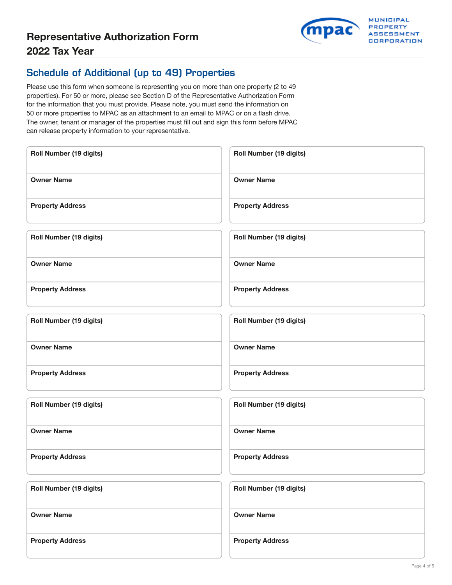

## Schedule of Additional (up to 49) Properties

Please use this form when someone is representing you on more than one property (2 to 49 properties). For 50 or more, please see Section D of the Representative Authorization Form for the information that you must provide. Please note, you must send the information on 50 or more properties to MPAC as an attachment to an email to MPAC or on a flash drive. The owner, tenant or manager of the properties must fill out and sign this form before MPAC can release property information to your representative.

| Roll Number (19 digits)        | Roll Number (19 digits)        |
|--------------------------------|--------------------------------|
| <b>Owner Name</b>              | <b>Owner Name</b>              |
| <b>Property Address</b>        | <b>Property Address</b>        |
| Roll Number (19 digits)        | Roll Number (19 digits)        |
| <b>Owner Name</b>              | <b>Owner Name</b>              |
| <b>Property Address</b>        | <b>Property Address</b>        |
| Roll Number (19 digits)        | <b>Roll Number (19 digits)</b> |
| <b>Owner Name</b>              | <b>Owner Name</b>              |
| <b>Property Address</b>        | <b>Property Address</b>        |
| <b>Roll Number (19 digits)</b> | Roll Number (19 digits)        |
| <b>Owner Name</b>              | <b>Owner Name</b>              |
| <b>Property Address</b>        | <b>Property Address</b>        |
| <b>Roll Number (19 digits)</b> | Roll Number (19 digits)        |
| <b>Owner Name</b>              | <b>Owner Name</b>              |
| <b>Property Address</b>        | <b>Property Address</b>        |